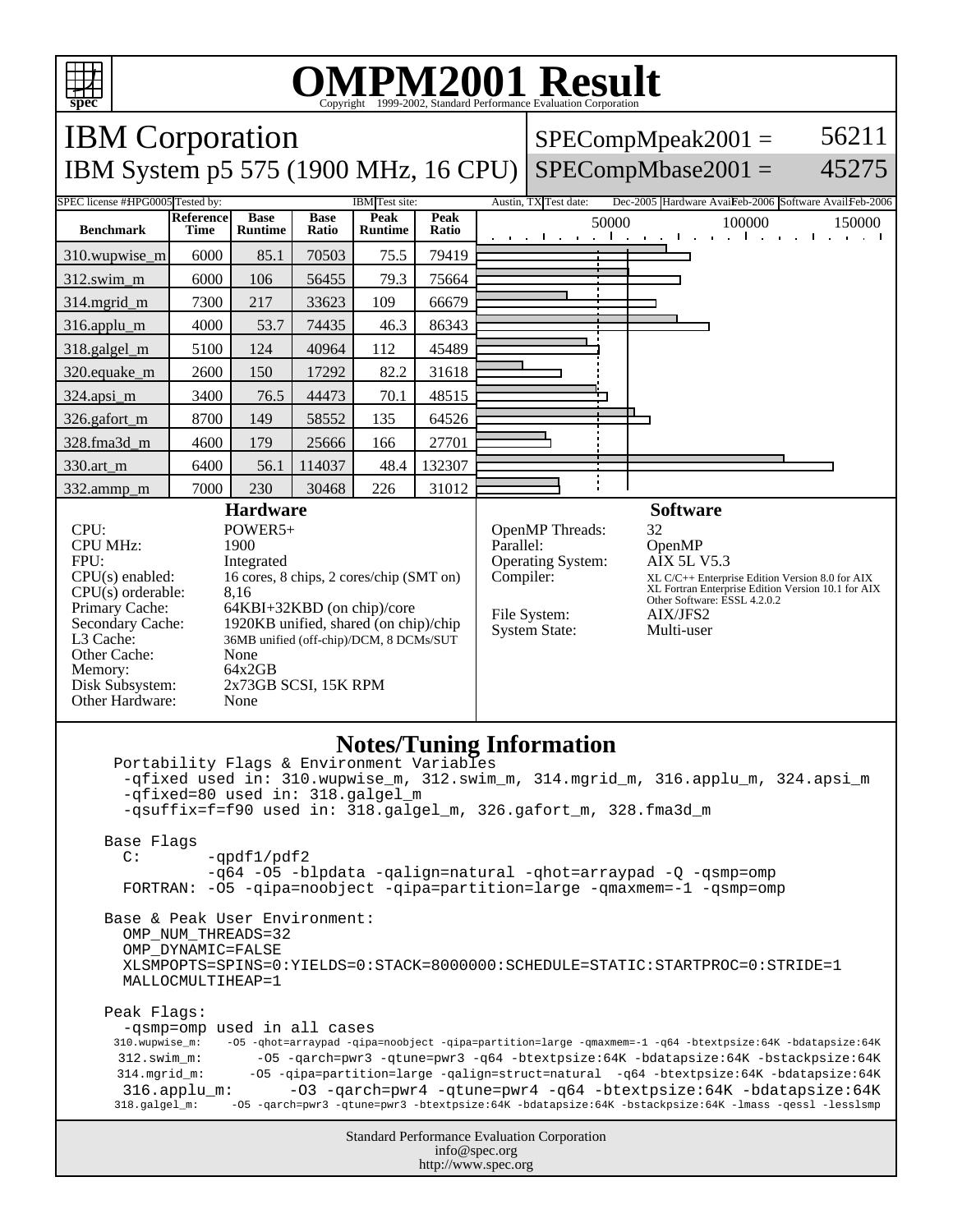

## OMPM2001 Result to Evaluation Corporation

| <b>IBM</b> Corporation                                                                                                                                                                                                                                                                                                                                                                                                                                                                                                                                                                                                                                 |                  |                |             |                        |        |                                                                                                                                 |                       | $SPECompMpeak2001 =$ | 56211                                                                                                                                                                                    |        |
|--------------------------------------------------------------------------------------------------------------------------------------------------------------------------------------------------------------------------------------------------------------------------------------------------------------------------------------------------------------------------------------------------------------------------------------------------------------------------------------------------------------------------------------------------------------------------------------------------------------------------------------------------------|------------------|----------------|-------------|------------------------|--------|---------------------------------------------------------------------------------------------------------------------------------|-----------------------|----------------------|------------------------------------------------------------------------------------------------------------------------------------------------------------------------------------------|--------|
| IBM System p5 575 (1900 MHz, 16 CPU)                                                                                                                                                                                                                                                                                                                                                                                                                                                                                                                                                                                                                   |                  |                |             |                        |        |                                                                                                                                 |                       |                      | $SPECompMbase2001 =$                                                                                                                                                                     | 45275  |
| SPEC license #HPG0005 Tested by:                                                                                                                                                                                                                                                                                                                                                                                                                                                                                                                                                                                                                       | <b>Reference</b> | <b>Base</b>    | <b>Base</b> | IBM Test site:<br>Peak | Peak   |                                                                                                                                 | Austin, TX Test date: |                      | Dec-2005 Hardware AvaiFeb-2006 Software AvailFeb-2006                                                                                                                                    |        |
| <b>Benchmark</b>                                                                                                                                                                                                                                                                                                                                                                                                                                                                                                                                                                                                                                       | Time             | <b>Runtime</b> | Ratio       | <b>Runtime</b>         | Ratio  |                                                                                                                                 |                       | 50000                | 100000                                                                                                                                                                                   | 150000 |
| 310.wupwise_m                                                                                                                                                                                                                                                                                                                                                                                                                                                                                                                                                                                                                                          | 6000             | 85.1           | 70503       | 75.5                   | 79419  |                                                                                                                                 |                       |                      |                                                                                                                                                                                          |        |
| 312.swim_m                                                                                                                                                                                                                                                                                                                                                                                                                                                                                                                                                                                                                                             | 6000             | 106            | 56455       | 79.3                   | 75664  |                                                                                                                                 |                       |                      |                                                                                                                                                                                          |        |
| 314.mgrid m                                                                                                                                                                                                                                                                                                                                                                                                                                                                                                                                                                                                                                            | 7300             | 217            | 33623       | 109                    | 66679  |                                                                                                                                 |                       |                      |                                                                                                                                                                                          |        |
| 316.applu_m                                                                                                                                                                                                                                                                                                                                                                                                                                                                                                                                                                                                                                            | 4000             | 53.7           | 74435       | 46.3                   | 86343  |                                                                                                                                 |                       |                      |                                                                                                                                                                                          |        |
| 318.galgel_m                                                                                                                                                                                                                                                                                                                                                                                                                                                                                                                                                                                                                                           | 5100             | 124            | 40964       | 112                    | 45489  |                                                                                                                                 |                       |                      |                                                                                                                                                                                          |        |
| 320.equake_m                                                                                                                                                                                                                                                                                                                                                                                                                                                                                                                                                                                                                                           | 2600             | 150            | 17292       | 82.2                   | 31618  |                                                                                                                                 |                       |                      |                                                                                                                                                                                          |        |
| 324.apsi_m                                                                                                                                                                                                                                                                                                                                                                                                                                                                                                                                                                                                                                             | 3400             | 76.5           | 44473       | 70.1                   | 48515  |                                                                                                                                 |                       |                      |                                                                                                                                                                                          |        |
| 326.gafort_m                                                                                                                                                                                                                                                                                                                                                                                                                                                                                                                                                                                                                                           | 8700             | 149            | 58552       | 135                    | 64526  |                                                                                                                                 |                       |                      |                                                                                                                                                                                          |        |
| 328.fma3d m                                                                                                                                                                                                                                                                                                                                                                                                                                                                                                                                                                                                                                            | 4600             | 179            | 25666       | 166                    | 27701  |                                                                                                                                 |                       |                      |                                                                                                                                                                                          |        |
| 330.art_m                                                                                                                                                                                                                                                                                                                                                                                                                                                                                                                                                                                                                                              | 6400             | 56.1           | 114037      | 48.4                   | 132307 |                                                                                                                                 |                       |                      |                                                                                                                                                                                          |        |
| 332.ammp_m                                                                                                                                                                                                                                                                                                                                                                                                                                                                                                                                                                                                                                             | 7000             | 230            | 30468       | 226                    | 31012  |                                                                                                                                 |                       |                      |                                                                                                                                                                                          |        |
| CPU:<br>POWER5+<br><b>CPU MHz:</b><br>1900<br>FPU:<br>Integrated<br>$CPU(s)$ enabled:<br>16 cores, 8 chips, 2 cores/chip (SMT on)<br>$CPU(s)$ orderable:<br>8,16<br>Primary Cache:<br>64KBI+32KBD (on chip)/core<br>Secondary Cache:<br>1920KB unified, shared (on chip)/chip<br>L3 Cache:<br>36MB unified (off-chip)/DCM, 8 DCMs/SUT<br>Other Cache:<br>None<br>64x2GB<br>Memory:<br>Disk Subsystem:<br>2x73GB SCSI, 15K RPM<br>Other Hardware:<br>None                                                                                                                                                                                               |                  |                |             |                        |        | <b>Software</b><br>32<br>OpenMP Threads:<br>Parallel:<br>Operating System:<br>Compiler:<br>File System:<br><b>System State:</b> |                       |                      | OpenMP<br>AIX 5L V5.3<br>XL C/C++ Enterprise Edition Version 8.0 for AIX<br>XL Fortran Enterprise Edition Version 10.1 for AIX<br>Other Software: ESSL 4.2.0.2<br>AIX/JFS2<br>Multi-user |        |
| <b>Notes/Tuning Information</b><br>Portability Flags & Environment Variables<br>-qfixed used in: 310.wupwise_m, 312.swim_m, 314.mgrid_m, 316.applu_m, 324.apsi_m<br>-qfixed=80 used in: 318.galgel_m<br>-qsuffix=f=f90 used in: 318.galgel_m, 326.gafort_m, 328.fma3d_m<br>Base Flags<br>$-qpdf1/pdf2$<br>$\mathbb{C}$ :<br>-q64 -05 -blpdata -qalign=natural -qhot=arraypad -Q -qsmp=omp<br>FORTRAN: -05 -qipa=noobject -qipa=partition=large -qmaxmem=-1 -qsmp=omp<br>Base & Peak User Environment:<br>OMP NUM THREADS=32<br>OMP DYNAMIC=FALSE<br>XLSMPOPTS=SPINS=0:YIELDS=0:STACK=8000000:SCHEDULE=STATIC:STARTPROC=0:STRIDE=1<br>MALLOCMULTIHEAP=1 |                  |                |             |                        |        |                                                                                                                                 |                       |                      |                                                                                                                                                                                          |        |
| Peak Flags:<br>-qsmp=omp used in all cases<br>310.wupwise_m:<br>-05 -qhot=arraypad -qipa=noobject -qipa=partition=large -qmaxmem=-1 -q64 -btextpsize:64K -bdatapsize:64K<br>$312$ .swim m:<br>-05 -garch=pwr3 -gtune=pwr3 -g64 -btextpsize:64K -bdatapsize:64K -bstackpsize:64K<br>-05 -qipa=partition=large -qalign=struct=natural -q64 -btextpsize:64K -bdatapsize:64K<br>314.mgrid_m:<br>-03 -garch=pwr4 -gtune=pwr4 -g64 -btextpsize:64K -bdatapsize:64K<br>$316.\text{applu m}:$<br>-05 -qarch=pwr3 -qtune=pwr3 -btextpsize:64K -bdatapsize:64K -bstackpsize:64K -lmass -qessl -lesslsmp<br>318.galgel_m:                                         |                  |                |             |                        |        |                                                                                                                                 |                       |                      |                                                                                                                                                                                          |        |
| Standard Performance Evaluation Corporation<br>info@spec.org<br>http://www.spec.org                                                                                                                                                                                                                                                                                                                                                                                                                                                                                                                                                                    |                  |                |             |                        |        |                                                                                                                                 |                       |                      |                                                                                                                                                                                          |        |